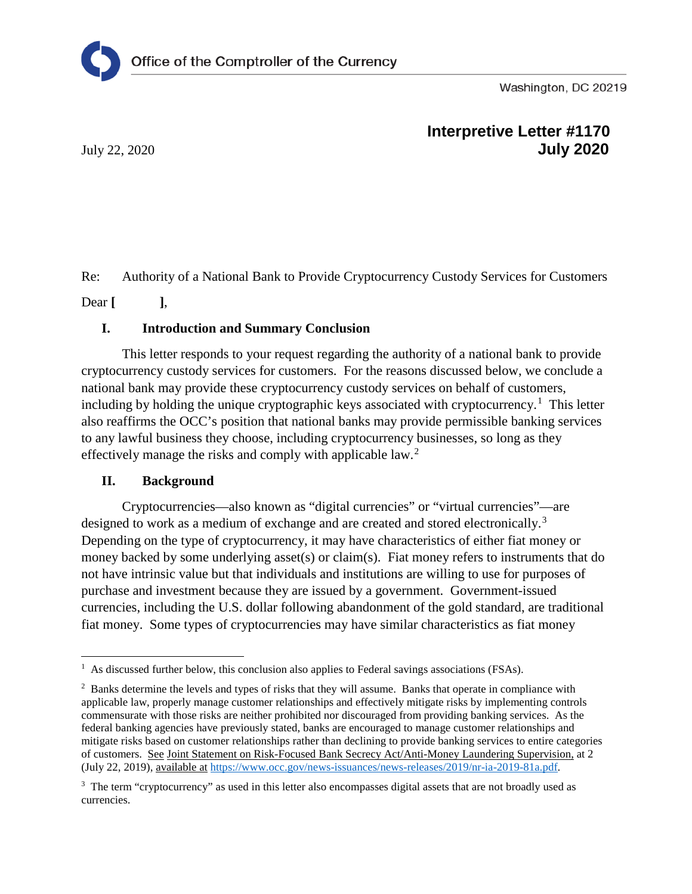Washington, DC 20219

# **Interpretive Letter #1170** July 22, 2020 **July 2020**

Re: Authority of a National Bank to Provide Cryptocurrency Custody Services for Customers

Dear **[ ]**,

## **I. Introduction and Summary Conclusion**

This letter responds to your request regarding the authority of a national bank to provide cryptocurrency custody services for customers. For the reasons discussed below, we conclude a national bank may provide these cryptocurrency custody services on behalf of customers, including by holding the unique cryptographic keys associated with cryptocurrency.<sup>[1](#page-0-0)</sup> This letter also reaffirms the OCC's position that national banks may provide permissible banking services to any lawful business they choose, including cryptocurrency businesses, so long as they effectively manage the risks and comply with applicable law.<sup>[2](#page-0-1)</sup>

### **II. Background**

Cryptocurrencies—also known as "digital currencies" or "virtual currencies"—are designed to work as a medium of exchange and are created and stored electronically.<sup>[3](#page-0-2)</sup> Depending on the type of cryptocurrency, it may have characteristics of either fiat money or money backed by some underlying asset(s) or claim(s). Fiat money refers to instruments that do not have intrinsic value but that individuals and institutions are willing to use for purposes of purchase and investment because they are issued by a government. Government-issued currencies, including the U.S. dollar following abandonment of the gold standard, are traditional fiat money. Some types of cryptocurrencies may have similar characteristics as fiat money

<span id="page-0-0"></span>l <sup>1</sup> As discussed further below, this conclusion also applies to Federal savings associations (FSAs).

<span id="page-0-1"></span><sup>&</sup>lt;sup>2</sup> Banks determine the levels and types of risks that they will assume. Banks that operate in compliance with applicable law, properly manage customer relationships and effectively mitigate risks by implementing controls commensurate with those risks are neither prohibited nor discouraged from providing banking services. As the federal banking agencies have previously stated, banks are encouraged to manage customer relationships and mitigate risks based on customer relationships rather than declining to provide banking services to entire categories of customers. See Joint Statement on Risk-Focused Bank Secrecy Act/Anti-Money Laundering Supervision, at 2 (July 22, 2019), available at [https://www.occ.gov/news-issuances/news-releases/2019/nr-ia-2019-81a.pdf.](https://www.occ.gov/news-issuances/news-releases/2019/nr-ia-2019-81a.pdf)

<span id="page-0-2"></span><sup>&</sup>lt;sup>3</sup> The term "cryptocurrency" as used in this letter also encompasses digital assets that are not broadly used as currencies.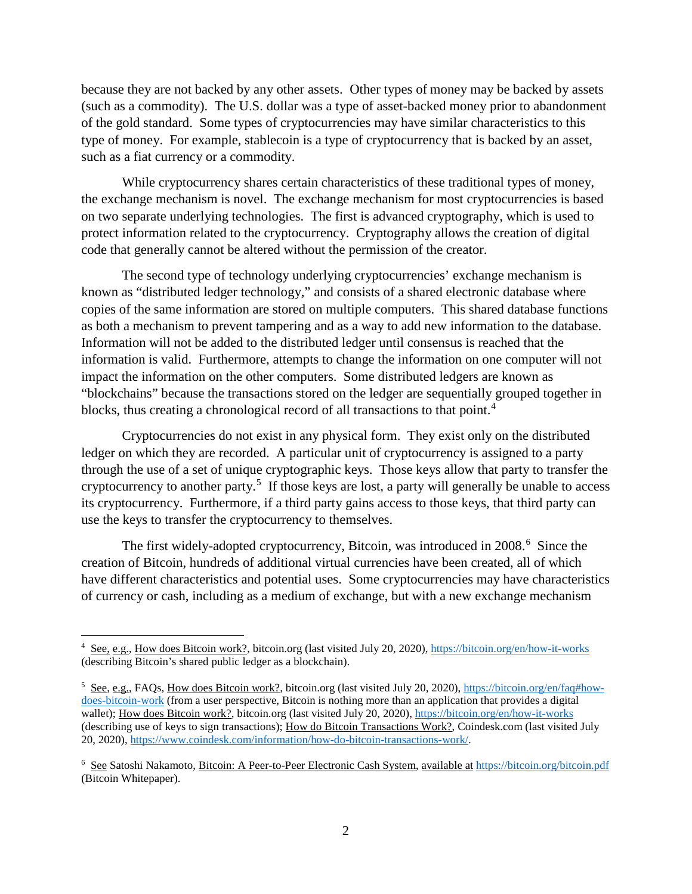because they are not backed by any other assets. Other types of money may be backed by assets (such as a commodity). The U.S. dollar was a type of asset-backed money prior to abandonment of the gold standard. Some types of cryptocurrencies may have similar characteristics to this type of money. For example, stablecoin is a type of cryptocurrency that is backed by an asset, such as a fiat currency or a commodity.

While cryptocurrency shares certain characteristics of these traditional types of money, the exchange mechanism is novel. The exchange mechanism for most cryptocurrencies is based on two separate underlying technologies. The first is advanced cryptography, which is used to protect information related to the cryptocurrency. Cryptography allows the creation of digital code that generally cannot be altered without the permission of the creator.

The second type of technology underlying cryptocurrencies' exchange mechanism is known as "distributed ledger technology," and consists of a shared electronic database where copies of the same information are stored on multiple computers. This shared database functions as both a mechanism to prevent tampering and as a way to add new information to the database. Information will not be added to the distributed ledger until consensus is reached that the information is valid. Furthermore, attempts to change the information on one computer will not impact the information on the other computers. Some distributed ledgers are known as "blockchains" because the transactions stored on the ledger are sequentially grouped together in blocks, thus creating a chronological record of all transactions to that point.<sup>[4](#page-1-0)</sup>

Cryptocurrencies do not exist in any physical form. They exist only on the distributed ledger on which they are recorded. A particular unit of cryptocurrency is assigned to a party through the use of a set of unique cryptographic keys. Those keys allow that party to transfer the cryptocurrency to another party.<sup>[5](#page-1-1)</sup> If those keys are lost, a party will generally be unable to access its cryptocurrency. Furthermore, if a third party gains access to those keys, that third party can use the keys to transfer the cryptocurrency to themselves.

The first widely-adopted cryptocurrency, Bitcoin, was introduced in 2008.<sup>[6](#page-1-2)</sup> Since the creation of Bitcoin, hundreds of additional virtual currencies have been created, all of which have different characteristics and potential uses. Some cryptocurrencies may have characteristics of currency or cash, including as a medium of exchange, but with a new exchange mechanism

l

<span id="page-1-0"></span><sup>4</sup> See, e.g., How does Bitcoin work?, bitcoin.org (last visited July 20, 2020),<https://bitcoin.org/en/how-it-works> (describing Bitcoin's shared public ledger as a blockchain).

<span id="page-1-1"></span><sup>5</sup> See, e.g., FAQs, How does Bitcoin work?, bitcoin.org (last visited July 20, 2020), [https://bitcoin.org/en/faq#how](https://bitcoin.org/en/faq#how-does-bitcoin-work)[does-bitcoin-work](https://bitcoin.org/en/faq#how-does-bitcoin-work) (from a user perspective, Bitcoin is nothing more than an application that provides a digital wallet); How does Bitcoin work?, bitcoin.org (last visited July 20, 2020),<https://bitcoin.org/en/how-it-works> (describing use of keys to sign transactions); How do Bitcoin Transactions Work?, Coindesk.com (last visited July 20, 2020), [https://www.coindesk.com/information/how-do-bitcoin-transactions-work/.](https://www.coindesk.com/information/how-do-bitcoin-transactions-work/)

<span id="page-1-2"></span><sup>6</sup> See Satoshi Nakamoto, Bitcoin: A Peer-to-Peer Electronic Cash System, available at [https://bitcoin.org/bitcoin.pdf](https://bitcoin.org/bitcoin.%E2%80%8Cpdf) (Bitcoin Whitepaper).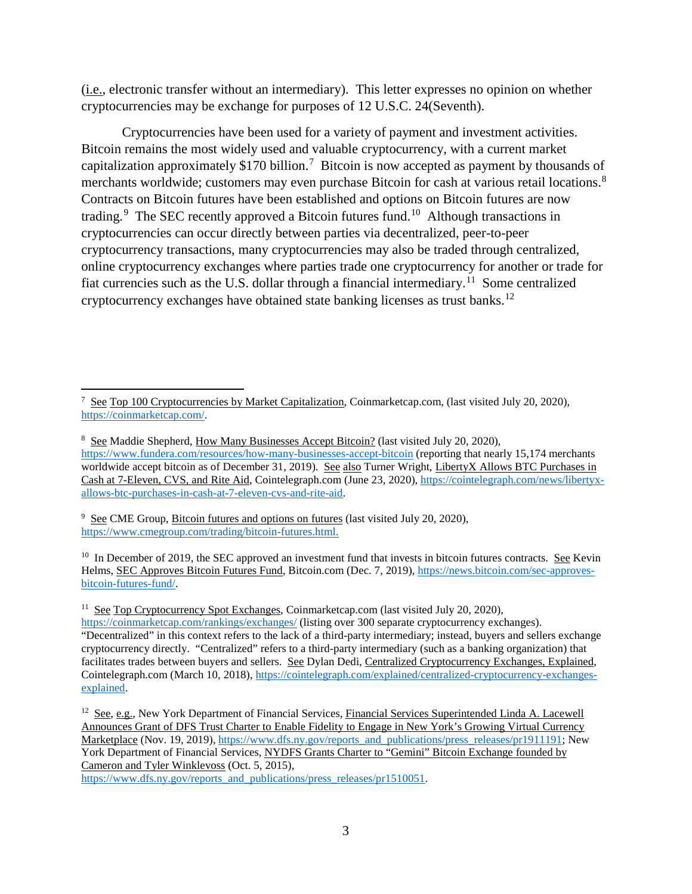(i.e., electronic transfer without an intermediary). This letter expresses no opinion on whether cryptocurrencies may be exchange for purposes of 12 U.S.C. 24(Seventh).

Cryptocurrencies have been used for a variety of payment and investment activities. Bitcoin remains the most widely used and valuable cryptocurrency, with a current market capitalization approximately \$1[7](#page-2-0)0 billion.<sup>7</sup> Bitcoin is now accepted as payment by thousands of merchants worldwide; customers may even purchase Bitcoin for cash at various retail locations.<sup>[8](#page-2-1)</sup> Contracts on Bitcoin futures have been established and options on Bitcoin futures are now trading.<sup>[9](#page-2-2)</sup> The SEC recently approved a Bitcoin futures fund.<sup>[10](#page-2-3)</sup> Although transactions in cryptocurrencies can occur directly between parties via decentralized, peer-to-peer cryptocurrency transactions, many cryptocurrencies may also be traded through centralized, online cryptocurrency exchanges where parties trade one cryptocurrency for another or trade for fiat currencies such as the U.S. dollar through a financial intermediary.<sup>[11](#page-2-4)</sup> Some centralized cryptocurrency exchanges have obtained state banking licenses as trust banks.[12](#page-2-5)

<span id="page-2-2"></span><sup>9</sup> See CME Group, Bitcoin futures and options on futures (last visited July 20, 2020), [https://www.cmegroup.com/trading/bitcoin-futures.html.](https://www.cmegroup.com/trading/bitcoin-futures.html)

<span id="page-2-3"></span><sup>10</sup> In December of 2019, the SEC approved an investment fund that invests in bitcoin futures contracts. See Kevin Helms, SEC Approves Bitcoin Futures Fund, Bitcoin.com (Dec. 7, 2019), [https://news.bitcoin.com/sec-approves](https://news.bitcoin.com/sec-approves-bitcoin-futures-fund/)[bitcoin-futures-fund/.](https://news.bitcoin.com/sec-approves-bitcoin-futures-fund/) 

<span id="page-2-4"></span><sup>11</sup> See Top Cryptocurrency Spot Exchanges, Coinmarketcap.com (last visited July 20, 2020),

[https://www.dfs.ny.gov/reports\\_and\\_publications/press\\_releases/pr1510051.](https://www.dfs.ny.gov/reports_and_publications/press_releases/pr1510051)

<span id="page-2-0"></span> $\overline{\phantom{a}}$ <sup>7</sup> See Top 100 Cryptocurrencies by Market Capitalization, Coinmarketcap.com, (last visited July 20, 2020), [https://coinmarketcap.com/.](https://coinmarketcap.com/)

<span id="page-2-1"></span><sup>8</sup> See Maddie Shepherd, How Many Businesses Accept Bitcoin? (last visited July 20, 2020), <https://www.fundera.com/resources/how-many-businesses-accept-bitcoin> (reporting that nearly 15,174 merchants worldwide accept bitcoin as of December 31, 2019). See also Turner Wright, LibertyX Allows BTC Purchases in Cash at 7-Eleven, CVS, and Rite Aid, Cointelegraph.com (June 23, 2020), [https://cointelegraph.com/news/libertyx](https://cointelegraph.com/news/libertyx-allows-btc-purchases-in-cash-at-7-eleven-cvs-and-rite-aid)[allows-btc-purchases-in-cash-at-7-eleven-cvs-and-rite-aid.](https://cointelegraph.com/news/libertyx-allows-btc-purchases-in-cash-at-7-eleven-cvs-and-rite-aid) 

<https://coinmarketcap.com/rankings/exchanges/> (listing over 300 separate cryptocurrency exchanges). "Decentralized" in this context refers to the lack of a third-party intermediary; instead, buyers and sellers exchange cryptocurrency directly. "Centralized" refers to a third-party intermediary (such as a banking organization) that facilitates trades between buyers and sellers. See Dylan Dedi, Centralized Cryptocurrency Exchanges, Explained, Cointelegraph.com (March 10, 2018), [https://cointelegraph.com/explained/centralized-cryptocurrency-exchanges](https://cointelegraph.com/explained/centralized-cryptocurrency-exchanges-explained)[explained.](https://cointelegraph.com/explained/centralized-cryptocurrency-exchanges-explained)

<span id="page-2-5"></span><sup>12</sup> See, e.g., New York Department of Financial Services, Financial Services Superintended Linda A. Lacewell Announces Grant of DFS Trust Charter to Enable Fidelity to Engage in New York's Growing Virtual Currency Marketplace (Nov. 19, 2019)[, https://www.dfs.ny.gov/reports\\_and\\_publications/press\\_releases/pr1911191;](https://www.dfs.ny.gov/reports_and_publications/press_releases/pr1911191) New York Department of Financial Services, NYDFS Grants Charter to "Gemini" Bitcoin Exchange founded by Cameron and Tyler Winklevoss (Oct. 5, 2015),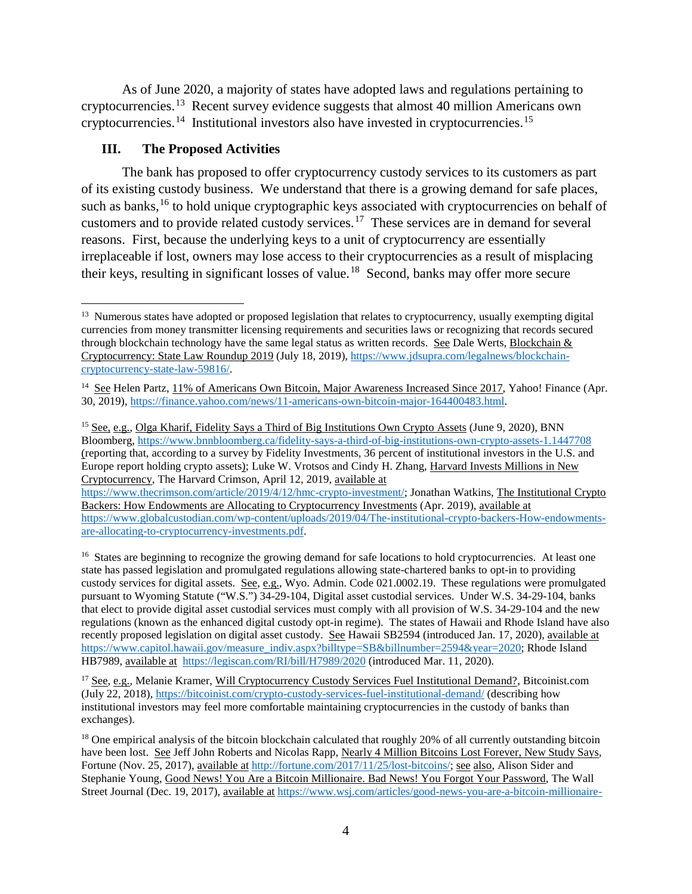As of June 2020, a majority of states have adopted laws and regulations pertaining to cryptocurrencies.<sup>[13](#page-3-0)</sup> Recent survey evidence suggests that almost 40 million Americans own cryptocurrencies.[14](#page-3-1) Institutional investors also have invested in cryptocurrencies.[15](#page-3-2)

### **III. The Proposed Activities**

l

The bank has proposed to offer cryptocurrency custody services to its customers as part of its existing custody business. We understand that there is a growing demand for safe places, such as banks,<sup>[16](#page-3-3)</sup> to hold unique cryptographic keys associated with cryptocurrencies on behalf of customers and to provide related custody services.<sup>[17](#page-3-4)</sup> These services are in demand for several reasons. First, because the underlying keys to a unit of cryptocurrency are essentially irreplaceable if lost, owners may lose access to their cryptocurrencies as a result of misplacing their keys, resulting in significant losses of value.<sup>[18](#page-3-5)</sup> Second, banks may offer more secure

<span id="page-3-2"></span><sup>15</sup> See, e.g., Olga Kharif, Fidelity Says a Third of Big Institutions Own Crypto Assets (June 9, 2020), BNN Bloomberg,<https://www.bnnbloomberg.ca/fidelity-says-a-third-of-big-institutions-own-crypto-assets-1.1447708> (reporting that, according to a survey by Fidelity Investments, 36 percent of institutional investors in the U.S. and Europe report holding crypto assets); Luke W. Vrotsos and Cindy H. Zhang, Harvard Invests Millions in New Cryptocurrency, The Harvard Crimson, April 12, 2019, available at

[https://www.thecrimson.com/article/2019/4/12/hmc-crypto-investment/;](https://www.thecrimson.com/article/2019/4/12/hmc-crypto-investment/) Jonathan Watkins, The Institutional Crypto Backers: How Endowments are Allocating to Cryptocurrency Investments (Apr. 2019), available at [https://www.globalcustodian.com/wp-content/uploads/2019/04/The-institutional-crypto-backers-How-endowments](https://www.globalcustodian.com/wp-content/uploads/2019/04/The-institutional-crypto-backers-How-endowments-are-allocating-to-cryptocurrency-investments.pdf)[are-allocating-to-cryptocurrency-investments.pdf.](https://www.globalcustodian.com/wp-content/uploads/2019/04/The-institutional-crypto-backers-How-endowments-are-allocating-to-cryptocurrency-investments.pdf)

<span id="page-3-3"></span><sup>16</sup> States are beginning to recognize the growing demand for safe locations to hold cryptocurrencies. At least one state has passed legislation and promulgated regulations allowing state-chartered banks to opt-in to providing custody services for digital assets. See, e.g., Wyo. Admin. Code  $021.0002.19$ . These regulations were promulgated pursuant to Wyoming Statute ("W.S.") 34-29-104, Digital asset custodial services. Under W.S. 34-29-104, banks that elect to provide digital asset custodial services must comply with all provision of W.S. 34-29-104 and the new regulations (known as the enhanced digital custody opt-in regime). The states of Hawaii and Rhode Island have also recently proposed legislation on digital asset custody. See Hawaii SB2594 (introduced Jan. 17, 2020), available at [https://www.capitol.hawaii.gov/measure\\_indiv.aspx?billtype=SB&billnumber=2594&year=2020;](https://www.capitol.hawaii.gov/measure_indiv.aspx?billtype=SB&billnumber=2594&year=2020) Rhode Island HB7989, available at<https://legiscan.com/RI/bill/H7989/2020> (introduced Mar. 11, 2020).

<span id="page-3-4"></span><sup>17</sup> See, e.g., Melanie Kramer, Will Cryptocurrency Custody Services Fuel Institutional Demand?, Bitcoinist.com (July 22, 2018),<https://bitcoinist.com/crypto-custody-services-fuel-institutional-demand/> (describing how institutional investors may feel more comfortable maintaining cryptocurrencies in the custody of banks than exchanges).

<span id="page-3-5"></span> $18$  One empirical analysis of the bitcoin blockchain calculated that roughly 20% of all currently outstanding bitcoin have been lost. See Jeff John Roberts and Nicolas Rapp, Nearly 4 Million Bitcoins Lost Forever, New Study Says, Fortune (Nov. 25, 2017), available at [http://fortune.com/2017/11/25/lost-bitcoins/;](http://fortune.com/2017/11/25/lost-bitcoins/) see also, Alison Sider and Stephanie Young, Good News! You Are a Bitcoin Millionaire. Bad News! You Forgot Your Password, The Wall Street Journal (Dec. 19, 2017), available at [https://www.wsj.com/articles/good-news-you-are-a-bitcoin-millionaire-](https://www.wsj.com/articles/good-news-you-are-a-bitcoin-millionaire-bad-news-you-forgot-your-password-1513701480)

<span id="page-3-0"></span><sup>&</sup>lt;sup>13</sup> Numerous states have adopted or proposed legislation that relates to cryptocurrency, usually exempting digital currencies from money transmitter licensing requirements and securities laws or recognizing that records secured through blockchain technology have the same legal status as written records. See Dale Werts, Blockchain & Cryptocurrency: State Law Roundup 2019 (July 18, 2019), [https://www.jdsupra.com/legalnews/blockchain](https://www.jdsupra.com/legalnews/blockchain-cryptocurrency-state-law-59816/)[cryptocurrency-state-law-59816/.](https://www.jdsupra.com/legalnews/blockchain-cryptocurrency-state-law-59816/)

<span id="page-3-1"></span><sup>&</sup>lt;sup>14</sup> See Helen Partz, 11% of Americans Own Bitcoin, Major Awareness Increased Since 2017, Yahoo! Finance (Apr. 30, 2019), [https://finance.yahoo.com/news/11-americans-own-bitcoin-major-164400483.html.](https://finance.yahoo.com/news/11-americans-own-bitcoin-major-164400483.html)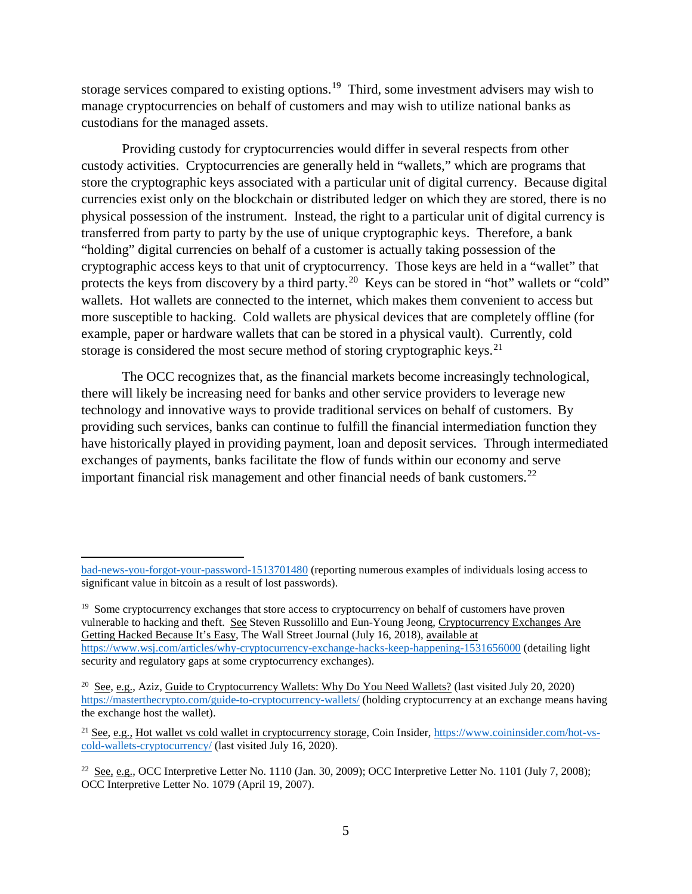storage services compared to existing options.<sup>19</sup> Third, some investment advisers may wish to manage cryptocurrencies on behalf of customers and may wish to utilize national banks as custodians for the managed assets.

Providing custody for cryptocurrencies would differ in several respects from other custody activities. Cryptocurrencies are generally held in "wallets," which are programs that store the cryptographic keys associated with a particular unit of digital currency. Because digital currencies exist only on the blockchain or distributed ledger on which they are stored, there is no physical possession of the instrument. Instead, the right to a particular unit of digital currency is transferred from party to party by the use of unique cryptographic keys. Therefore, a bank "holding" digital currencies on behalf of a customer is actually taking possession of the cryptographic access keys to that unit of cryptocurrency. Those keys are held in a "wallet" that protects the keys from discovery by a third party.<sup>20</sup> Keys can be stored in "hot" wallets or "cold" wallets. Hot wallets are connected to the internet, which makes them convenient to access but more susceptible to hacking. Cold wallets are physical devices that are completely offline (for example, paper or hardware wallets that can be stored in a physical vault). Currently, cold storage is considered the most secure method of storing cryptographic keys.<sup>[21](#page-4-2)</sup>

The OCC recognizes that, as the financial markets become increasingly technological, there will likely be increasing need for banks and other service providers to leverage new technology and innovative ways to provide traditional services on behalf of customers. By providing such services, banks can continue to fulfill the financial intermediation function they have historically played in providing payment, loan and deposit services. Through intermediated exchanges of payments, banks facilitate the flow of funds within our economy and serve important financial risk management and other financial needs of bank customers.<sup>22</sup>

 $\overline{\phantom{a}}$ 

[bad-news-you-forgot-your-password-1513701480](https://www.wsj.com/articles/good-news-you-are-a-bitcoin-millionaire-bad-news-you-forgot-your-password-1513701480) (reporting numerous examples of individuals losing access to significant value in bitcoin as a result of lost passwords).

<span id="page-4-0"></span><sup>&</sup>lt;sup>19</sup> Some cryptocurrency exchanges that store access to cryptocurrency on behalf of customers have proven vulnerable to hacking and theft. See Steven Russolillo and Eun-Young Jeong, Cryptocurrency Exchanges Are Getting Hacked Because It's Easy, The Wall Street Journal (July 16, 2018), available at <https://www.wsj.com/articles/why-cryptocurrency-exchange-hacks-keep-happening-1531656000> (detailing light security and regulatory gaps at some cryptocurrency exchanges).

<span id="page-4-1"></span><sup>20</sup> See, e.g., Aziz, Guide to Cryptocurrency Wallets: Why Do You Need Wallets? (last visited July 20, 2020) <https://masterthecrypto.com/guide-to-cryptocurrency-wallets/> (holding cryptocurrency at an exchange means having the exchange host the wallet).

<span id="page-4-2"></span><sup>21</sup> See, e.g.*,* Hot wallet vs cold wallet in cryptocurrency storage, Coin Insider, [https://www.coininsider.com/hot-vs](https://www.coininsider.com/hot-vs-cold-wallets-cryptocurrency/)[cold-wallets-cryptocurrency/](https://www.coininsider.com/hot-vs-cold-wallets-cryptocurrency/) (last visited July 16, 2020).

<span id="page-4-3"></span><sup>&</sup>lt;sup>22</sup> See, e.g., OCC Interpretive Letter No. 1110 (Jan. 30, 2009); OCC Interpretive Letter No. 1101 (July 7, 2008); OCC Interpretive Letter No. 1079 (April 19, 2007).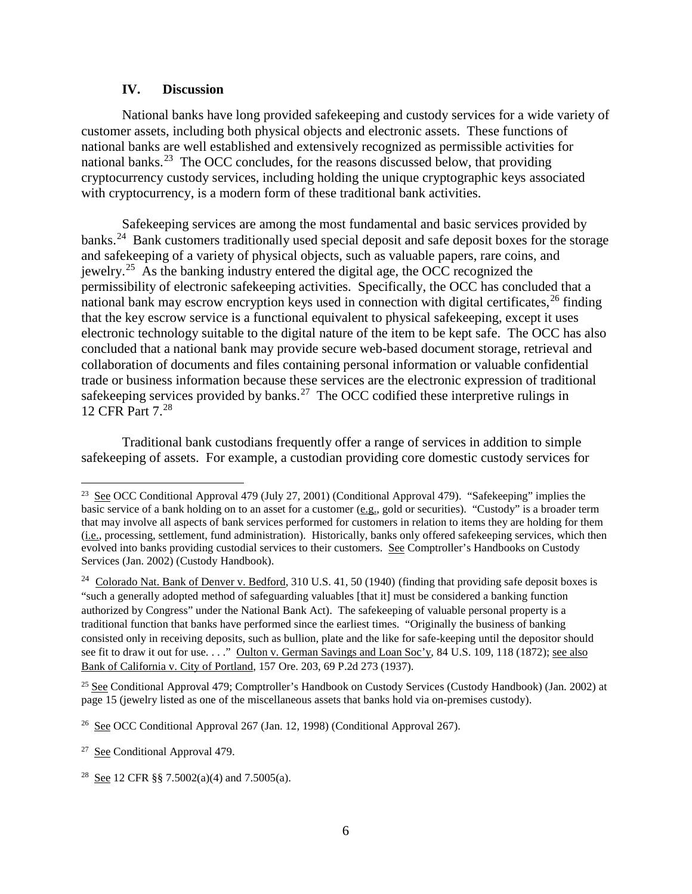#### **IV. Discussion**

National banks have long provided safekeeping and custody services for a wide variety of customer assets, including both physical objects and electronic assets. These functions of national banks are well established and extensively recognized as permissible activities for national banks.<sup>[23](#page-5-0)</sup> The OCC concludes, for the reasons discussed below, that providing cryptocurrency custody services, including holding the unique cryptographic keys associated with cryptocurrency, is a modern form of these traditional bank activities.

Safekeeping services are among the most fundamental and basic services provided by banks.[24](#page-5-1) Bank customers traditionally used special deposit and safe deposit boxes for the storage and safekeeping of a variety of physical objects, such as valuable papers, rare coins, and jewelry.[25](#page-5-2) As the banking industry entered the digital age, the OCC recognized the permissibility of electronic safekeeping activities. Specifically, the OCC has concluded that a national bank may escrow encryption keys used in connection with digital certificates,  $^{26}$  $^{26}$  $^{26}$  finding that the key escrow service is a functional equivalent to physical safekeeping, except it uses electronic technology suitable to the digital nature of the item to be kept safe. The OCC has also concluded that a national bank may provide secure web-based document storage, retrieval and collaboration of documents and files containing personal information or valuable confidential trade or business information because these services are the electronic expression of traditional safekeeping services provided by banks.<sup>[27](#page-5-4)</sup> The OCC codified these interpretive rulings in 12 CFR Part 7.[28](#page-5-5)

Traditional bank custodians frequently offer a range of services in addition to simple safekeeping of assets. For example, a custodian providing core domestic custody services for

 $\overline{\phantom{a}}$ 

<span id="page-5-0"></span><sup>&</sup>lt;sup>23</sup> See OCC Conditional Approval 479 (July 27, 2001) (Conditional Approval 479). "Safekeeping" implies the basic service of a bank holding on to an asset for a customer (e.g., gold or securities). "Custody" is a broader term that may involve all aspects of bank services performed for customers in relation to items they are holding for them (i.e., processing, settlement, fund administration). Historically, banks only offered safekeeping services, which then evolved into banks providing custodial services to their customers. See Comptroller's Handbooks on Custody Services (Jan. 2002) (Custody Handbook).

<span id="page-5-1"></span><sup>&</sup>lt;sup>24</sup> Colorado Nat. Bank of Denver v. Bedford, 310 U.S. 41, 50 (1940) (finding that providing safe deposit boxes is "such a generally adopted method of safeguarding valuables [that it] must be considered a banking function authorized by Congress" under the National Bank Act). The safekeeping of valuable personal property is a traditional function that banks have performed since the earliest times. "Originally the business of banking consisted only in receiving deposits, such as bullion, plate and the like for safe-keeping until the depositor should see fit to draw it out for use. . . ." Oulton v. German Savings and Loan Soc'y, 84 U.S. 109, 118 (1872); see also Bank of California v. City of Portland, 157 Ore. 203, 69 P.2d 273 (1937).

<span id="page-5-2"></span><sup>&</sup>lt;sup>25</sup> See Conditional Approval 479; Comptroller's Handbook on Custody Services (Custody Handbook) (Jan. 2002) at page 15 (jewelry listed as one of the miscellaneous assets that banks hold via on-premises custody).

<span id="page-5-3"></span><sup>&</sup>lt;sup>26</sup> See OCC Conditional Approval 267 (Jan. 12, 1998) (Conditional Approval 267).

<span id="page-5-4"></span><sup>27</sup> See Conditional Approval 479.

<span id="page-5-5"></span><sup>&</sup>lt;sup>28</sup> See 12 CFR §§ 7.5002(a)(4) and 7.5005(a).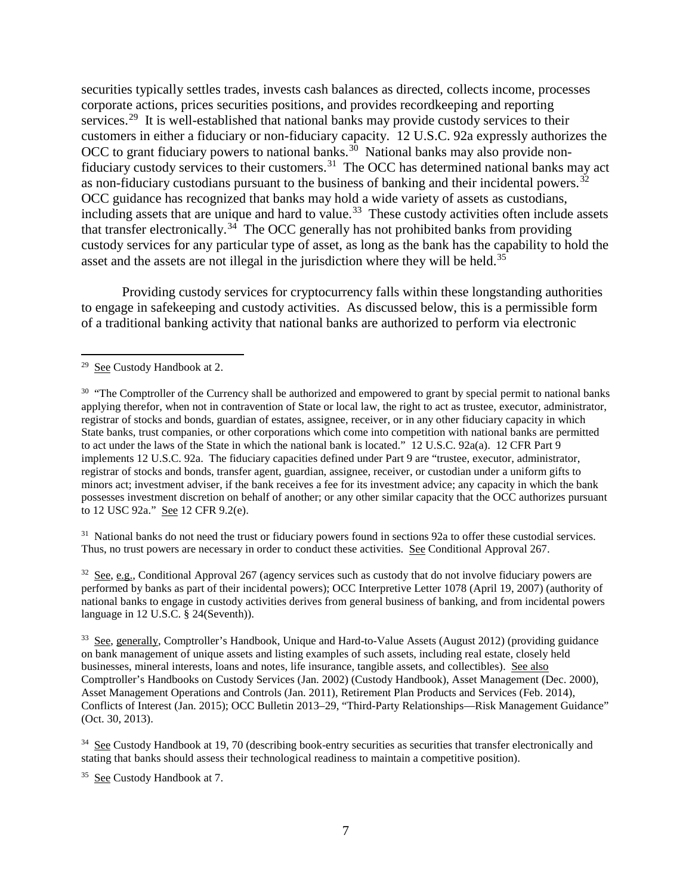securities typically settles trades, invests cash balances as directed, collects income, processes corporate actions, prices securities positions, and provides recordkeeping and reporting services.<sup>[29](#page-6-0)</sup> It is well-established that national banks may provide custody services to their customers in either a fiduciary or non-fiduciary capacity. 12 U.S.C. 92a expressly authorizes the OCC to grant fiduciary powers to national banks.<sup>[30](#page-6-1)</sup> National banks may also provide nonfiduciary custody services to their customers.<sup>31</sup> The OCC has determined national banks may act as non-fiduciary custodians pursuant to the business of banking and their incidental powers.<sup>[32](#page-6-3)</sup> OCC guidance has recognized that banks may hold a wide variety of assets as custodians, including assets that are unique and hard to value.<sup>[33](#page-6-4)</sup> These custody activities often include assets that transfer electronically.<sup>34</sup> The OCC generally has not prohibited banks from providing custody services for any particular type of asset, as long as the bank has the capability to hold the asset and the assets are not illegal in the jurisdiction where they will be held.<sup>[35](#page-6-6)</sup>

Providing custody services for cryptocurrency falls within these longstanding authorities to engage in safekeeping and custody activities. As discussed below, this is a permissible form of a traditional banking activity that national banks are authorized to perform via electronic

l

<span id="page-6-2"></span> $31$  National banks do not need the trust or fiduciary powers found in sections 92a to offer these custodial services. Thus, no trust powers are necessary in order to conduct these activities. See Conditional Approval 267.

<span id="page-6-3"></span> $32$  See, e.g., Conditional Approval 267 (agency services such as custody that do not involve fiduciary powers are performed by banks as part of their incidental powers); OCC Interpretive Letter 1078 (April 19, 2007) (authority of national banks to engage in custody activities derives from general business of banking, and from incidental powers language in 12 U.S.C. § 24(Seventh)).

<span id="page-6-4"></span><sup>33</sup> See, generally, Comptroller's Handbook, Unique and Hard-to-Value Assets (August 2012) (providing guidance on bank management of unique assets and listing examples of such assets, including real estate, closely held businesses, mineral interests, loans and notes, life insurance, tangible assets, and collectibles). See also Comptroller's Handbooks on Custody Services (Jan. 2002) (Custody Handbook), Asset Management (Dec. 2000), Asset Management Operations and Controls (Jan. 2011), Retirement Plan Products and Services (Feb. 2014), Conflicts of Interest (Jan. 2015); OCC Bulletin 2013–29, "Third-Party Relationships—Risk Management Guidance" (Oct. 30, 2013).

<span id="page-6-5"></span> $34$  See Custody Handbook at 19, 70 (describing book-entry securities as securities that transfer electronically and stating that banks should assess their technological readiness to maintain a competitive position).

<span id="page-6-6"></span><sup>35</sup> See Custody Handbook at 7.

<span id="page-6-0"></span><sup>&</sup>lt;sup>29</sup> See Custody Handbook at 2.

<span id="page-6-1"></span> $30$  "The Comptroller of the Currency shall be authorized and empowered to grant by special permit to national banks applying therefor, when not in contravention of State or local law, the right to act as trustee, executor, administrator, registrar of stocks and bonds, guardian of estates, assignee, receiver, or in any other fiduciary capacity in which State banks, trust companies, or other corporations which come into competition with national banks are permitted to act under the laws of the State in which the national bank is located." 12 U.S.C. 92a(a). 12 CFR Part 9 implements 12 U.S.C. 92a. The fiduciary capacities defined under Part 9 are "trustee, executor, administrator, registrar of stocks and bonds, transfer agent, guardian, assignee, receiver, or custodian under a uniform gifts to minors act; investment adviser, if the bank receives a fee for its investment advice; any capacity in which the bank possesses investment discretion on behalf of another; or any other similar capacity that the OCC authorizes pursuant to 12 USC 92a." See 12 CFR 9.2(e).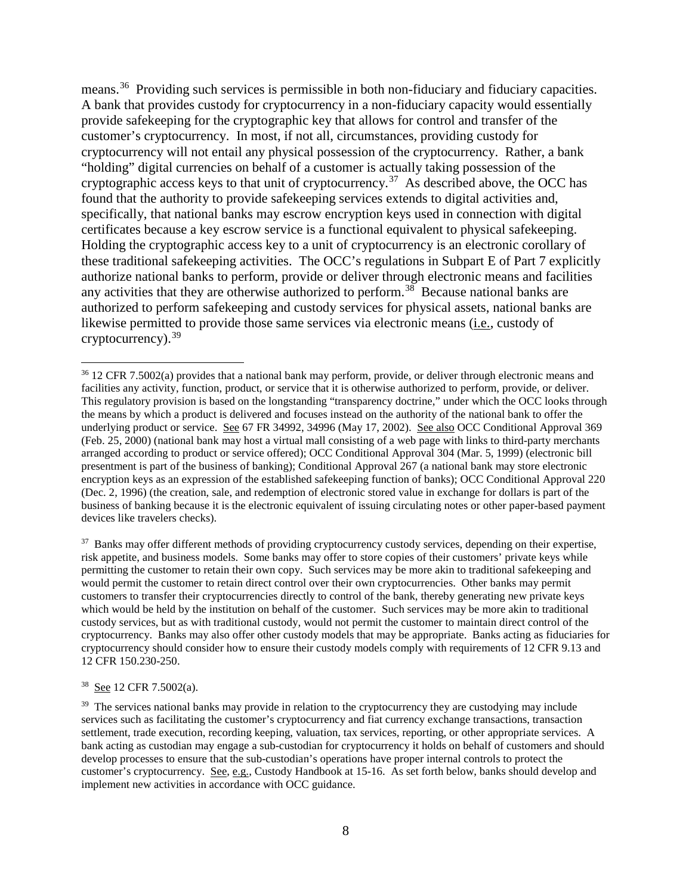means.<sup>[36](#page-7-0)</sup> Providing such services is permissible in both non-fiduciary and fiduciary capacities. A bank that provides custody for cryptocurrency in a non-fiduciary capacity would essentially provide safekeeping for the cryptographic key that allows for control and transfer of the customer's cryptocurrency. In most, if not all, circumstances, providing custody for cryptocurrency will not entail any physical possession of the cryptocurrency. Rather, a bank "holding" digital currencies on behalf of a customer is actually taking possession of the cryptographic access keys to that unit of cryptocurrency.<sup>[37](#page-7-1)</sup> As described above, the OCC has found that the authority to provide safekeeping services extends to digital activities and, specifically, that national banks may escrow encryption keys used in connection with digital certificates because a key escrow service is a functional equivalent to physical safekeeping. Holding the cryptographic access key to a unit of cryptocurrency is an electronic corollary of these traditional safekeeping activities. The OCC's regulations in Subpart E of Part 7 explicitly authorize national banks to perform, provide or deliver through electronic means and facilities any activities that they are otherwise authorized to perform.<sup>38</sup> Because national banks are authorized to perform safekeeping and custody services for physical assets, national banks are likewise permitted to provide those same services via electronic means (i.e., custody of cryptocurrency). [39](#page-7-3)

<span id="page-7-1"></span><sup>37</sup> Banks may offer different methods of providing cryptocurrency custody services, depending on their expertise, risk appetite, and business models. Some banks may offer to store copies of their customers' private keys while permitting the customer to retain their own copy. Such services may be more akin to traditional safekeeping and would permit the customer to retain direct control over their own cryptocurrencies. Other banks may permit customers to transfer their cryptocurrencies directly to control of the bank, thereby generating new private keys which would be held by the institution on behalf of the customer. Such services may be more akin to traditional custody services, but as with traditional custody, would not permit the customer to maintain direct control of the cryptocurrency. Banks may also offer other custody models that may be appropriate. Banks acting as fiduciaries for cryptocurrency should consider how to ensure their custody models comply with requirements of 12 CFR 9.13 and 12 CFR 150.230-250.

<span id="page-7-2"></span>38 See 12 CFR 7.5002(a).

 $\overline{a}$ 

<span id="page-7-0"></span><sup>&</sup>lt;sup>36</sup> 12 CFR 7.5002(a) provides that a national bank may perform, provide, or deliver through electronic means and facilities any activity, function, product, or service that it is otherwise authorized to perform, provide, or deliver. This regulatory provision is based on the longstanding "transparency doctrine," under which the OCC looks through the means by which a product is delivered and focuses instead on the authority of the national bank to offer the underlying product or service. See 67 FR 34992, 34996 (May 17, 2002). See also OCC Conditional Approval 369 (Feb. 25, 2000) (national bank may host a virtual mall consisting of a web page with links to third-party merchants arranged according to product or service offered); OCC Conditional Approval 304 (Mar. 5, 1999) (electronic bill presentment is part of the business of banking); Conditional Approval 267 (a national bank may store electronic encryption keys as an expression of the established safekeeping function of banks); OCC Conditional Approval 220 (Dec. 2, 1996) (the creation, sale, and redemption of electronic stored value in exchange for dollars is part of the business of banking because it is the electronic equivalent of issuing circulating notes or other paper-based payment devices like travelers checks).

<span id="page-7-3"></span><sup>&</sup>lt;sup>39</sup> The services national banks may provide in relation to the cryptocurrency they are custodying may include services such as facilitating the customer's cryptocurrency and fiat currency exchange transactions, transaction settlement, trade execution, recording keeping, valuation, tax services, reporting, or other appropriate services. A bank acting as custodian may engage a sub-custodian for cryptocurrency it holds on behalf of customers and should develop processes to ensure that the sub-custodian's operations have proper internal controls to protect the customer's cryptocurrency. See, e.g., Custody Handbook at 15-16. As set forth below, banks should develop and implement new activities in accordance with OCC guidance.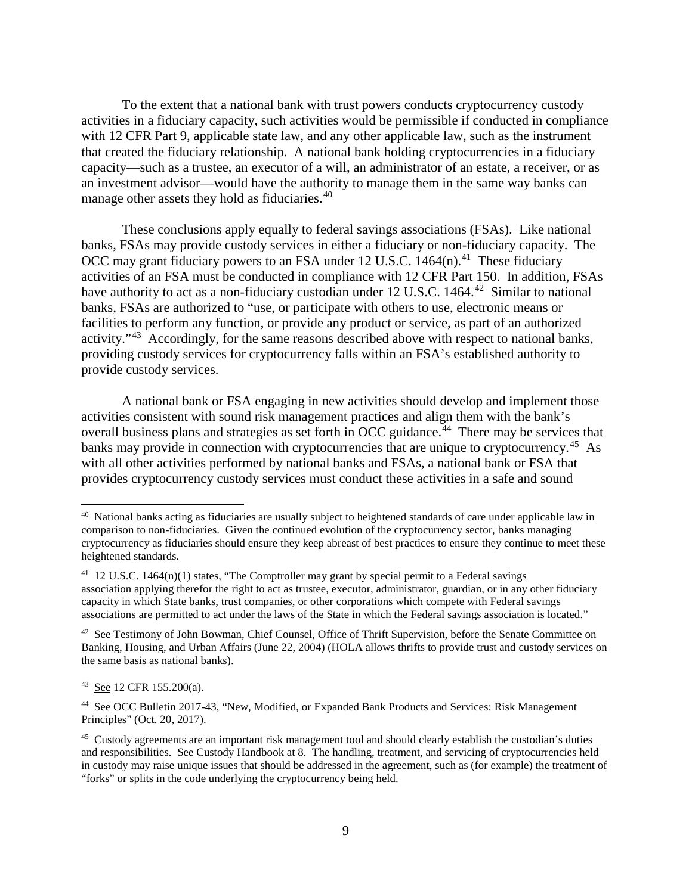To the extent that a national bank with trust powers conducts cryptocurrency custody activities in a fiduciary capacity, such activities would be permissible if conducted in compliance with 12 CFR Part 9, applicable state law, and any other applicable law, such as the instrument that created the fiduciary relationship. A national bank holding cryptocurrencies in a fiduciary capacity—such as a trustee, an executor of a will, an administrator of an estate, a receiver, or as an investment advisor—would have the authority to manage them in the same way banks can manage other assets they hold as fiduciaries.<sup>[40](#page-8-0)</sup>

These conclusions apply equally to federal savings associations (FSAs). Like national banks, FSAs may provide custody services in either a fiduciary or non-fiduciary capacity. The OCC may grant fiduciary powers to an FSA under 12 U.S.C.  $1464(n)$ .<sup>[41](#page-8-1)</sup> These fiduciary activities of an FSA must be conducted in compliance with 12 CFR Part 150. In addition, FSAs have authority to act as a non-fiduciary custodian under  $12$  U.S.C. 1464.<sup>[42](#page-8-2)</sup> Similar to national banks, FSAs are authorized to "use, or participate with others to use, electronic means or facilities to perform any function, or provide any product or service, as part of an authorized activity."<sup>[43](#page-8-3)</sup> Accordingly, for the same reasons described above with respect to national banks, providing custody services for cryptocurrency falls within an FSA's established authority to provide custody services.

A national bank or FSA engaging in new activities should develop and implement those activities consistent with sound risk management practices and align them with the bank's overall business plans and strategies as set forth in OCC guidance.<sup>[44](#page-8-4)</sup> There may be services that banks may provide in connection with cryptocurrencies that are unique to cryptocurrency.<sup>45</sup> As with all other activities performed by national banks and FSAs, a national bank or FSA that provides cryptocurrency custody services must conduct these activities in a safe and sound

l

<span id="page-8-0"></span><sup>40</sup> National banks acting as fiduciaries are usually subject to heightened standards of care under applicable law in comparison to non-fiduciaries. Given the continued evolution of the cryptocurrency sector, banks managing cryptocurrency as fiduciaries should ensure they keep abreast of best practices to ensure they continue to meet these heightened standards.

<span id="page-8-1"></span><sup>&</sup>lt;sup>41</sup> 12 U.S.C. 1464(n)(1) states, "The Comptroller may grant by special permit to a Federal savings association applying therefor the right to act as trustee, executor, administrator, guardian, or in any other fiduciary capacity in which State banks, trust companies, or other corporations which compete with Federal savings associations are permitted to act under the laws of the State in which the Federal savings association is located."

<span id="page-8-2"></span><sup>&</sup>lt;sup>42</sup> See Testimony of John Bowman, Chief Counsel, Office of Thrift Supervision, before the Senate Committee on Banking, Housing, and Urban Affairs (June 22, 2004) (HOLA allows thrifts to provide trust and custody services on the same basis as national banks).

<span id="page-8-3"></span><sup>43</sup> See 12 CFR 155.200(a).

<span id="page-8-4"></span><sup>44</sup> See OCC Bulletin 2017-43, "New, Modified, or Expanded Bank Products and Services: Risk Management Principles" (Oct. 20, 2017).

<span id="page-8-5"></span><sup>45</sup> Custody agreements are an important risk management tool and should clearly establish the custodian's duties and responsibilities. See Custody Handbook at 8. The handling, treatment, and servicing of cryptocurrencies held in custody may raise unique issues that should be addressed in the agreement, such as (for example) the treatment of "forks" or splits in the code underlying the cryptocurrency being held.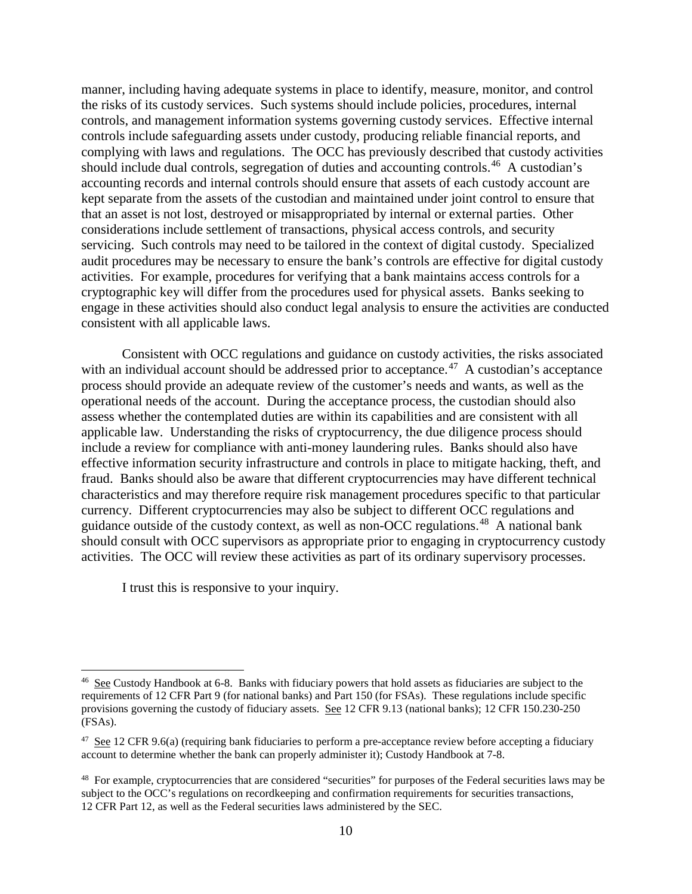manner, including having adequate systems in place to identify, measure, monitor, and control the risks of its custody services. Such systems should include policies, procedures, internal controls, and management information systems governing custody services. Effective internal controls include safeguarding assets under custody, producing reliable financial reports, and complying with laws and regulations. The OCC has previously described that custody activities should include dual controls, segregation of duties and accounting controls.<sup>[46](#page-9-0)</sup> A custodian's accounting records and internal controls should ensure that assets of each custody account are kept separate from the assets of the custodian and maintained under joint control to ensure that that an asset is not lost, destroyed or misappropriated by internal or external parties. Other considerations include settlement of transactions, physical access controls, and security servicing. Such controls may need to be tailored in the context of digital custody. Specialized audit procedures may be necessary to ensure the bank's controls are effective for digital custody activities. For example, procedures for verifying that a bank maintains access controls for a cryptographic key will differ from the procedures used for physical assets. Banks seeking to engage in these activities should also conduct legal analysis to ensure the activities are conducted consistent with all applicable laws.

Consistent with OCC regulations and guidance on custody activities, the risks associated with an individual account should be addressed prior to acceptance.<sup>[47](#page-9-1)</sup> A custodian's acceptance process should provide an adequate review of the customer's needs and wants, as well as the operational needs of the account. During the acceptance process, the custodian should also assess whether the contemplated duties are within its capabilities and are consistent with all applicable law. Understanding the risks of cryptocurrency, the due diligence process should include a review for compliance with anti-money laundering rules. Banks should also have effective information security infrastructure and controls in place to mitigate hacking, theft, and fraud. Banks should also be aware that different cryptocurrencies may have different technical characteristics and may therefore require risk management procedures specific to that particular currency. Different cryptocurrencies may also be subject to different OCC regulations and guidance outside of the custody context, as well as non-OCC regulations.<sup>48</sup> A national bank should consult with OCC supervisors as appropriate prior to engaging in cryptocurrency custody activities. The OCC will review these activities as part of its ordinary supervisory processes.

I trust this is responsive to your inquiry.

l

<span id="page-9-0"></span><sup>46</sup> See Custody Handbook at 6-8. Banks with fiduciary powers that hold assets as fiduciaries are subject to the requirements of 12 CFR Part 9 (for national banks) and Part 150 (for FSAs). These regulations include specific provisions governing the custody of fiduciary assets. See 12 CFR 9.13 (national banks); 12 CFR 150.230-250 (FSAs).

<span id="page-9-1"></span> $47$  See 12 CFR 9.6(a) (requiring bank fiduciaries to perform a pre-acceptance review before accepting a fiduciary account to determine whether the bank can properly administer it); Custody Handbook at 7-8.

<span id="page-9-2"></span><sup>&</sup>lt;sup>48</sup> For example, cryptocurrencies that are considered "securities" for purposes of the Federal securities laws may be subject to the OCC's regulations on recordkeeping and confirmation requirements for securities transactions, 12 CFR Part 12, as well as the Federal securities laws administered by the SEC.